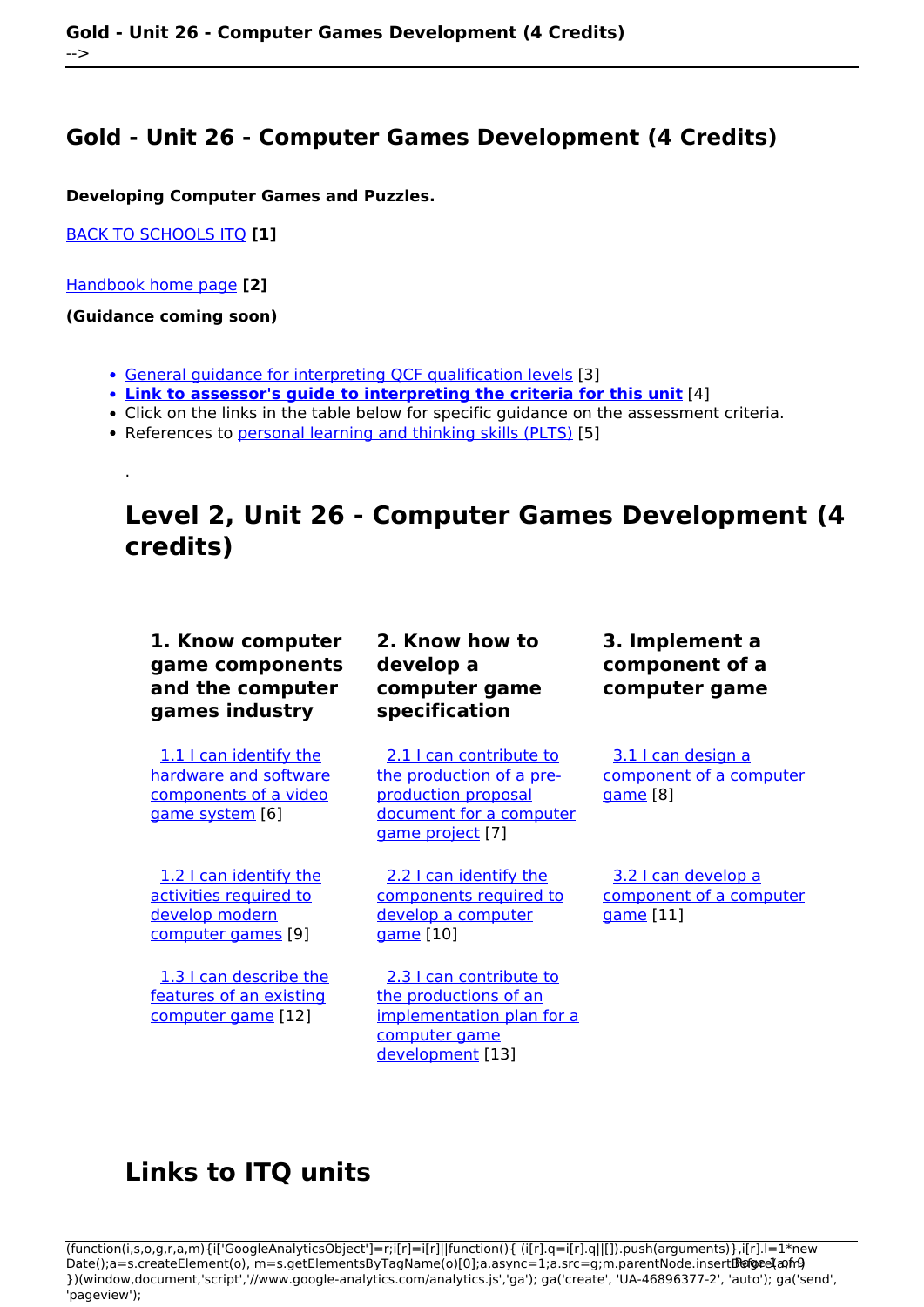## **Gold - Unit 26 - Computer Games Development (4 Credits)**

**Developing Computer Games and Puzzles.**

[BACK TO SCHOOLS ITQ](https://theingots.org/community/ITQ_unit_development) **[1]**

[Handbook home page](https://theingots.org/community/handbook2) **[2]**

**(Guidance coming soon)**

.

- [General guidance for interpreting QCF qualification levels](https://theingots.org/community/QCF_levels) [3]
- **[Link to assessor's guide to interpreting the criteria for this unit](https://theingots.org/community/SIL2U26X)** [4]
- Click on the links in the table below for specific guidance on the assessment criteria.
- References to [personal learning and thinking skills \(PLTS\)](http://curriculum.qcda.gov.uk/key-stages-3-and-4/skills/plts/planning-for-plts/index.aspx) [5]

# **Level 2, Unit 26 - Computer Games Development (4 credits)**

### **1. Know computer game components and the computer games industry**

[1.1 I can identify the](https://theingots.org/community/sil2u26x#1.1) [hardware and software](https://theingots.org/community/sil2u26x#1.1) [components of a video](https://theingots.org/community/sil2u26x#1.1) [game system](https://theingots.org/community/sil2u26x#1.1) [6]

[1.2 I can identify the](https://theingots.org/community/sil2u26x#1.2) [activities required to](https://theingots.org/community/sil2u26x#1.2) [develop modern](https://theingots.org/community/sil2u26x#1.2) [computer games](https://theingots.org/community/sil2u26x#1.2) [9]

 [1.3 I can describe the](https://theingots.org/community/sil2u26x#1.3) [features of an existing](https://theingots.org/community/sil2u26x#1.3) [computer game](https://theingots.org/community/sil2u26x#1.3) [12]

### **2. Know how to develop a computer game specification**

[2.1 I can contribute to](https://theingots.org/community/sil2u26x#2.1) [the production of a pre](https://theingots.org/community/sil2u26x#2.1)[production proposal](https://theingots.org/community/sil2u26x#2.1) [document for a computer](https://theingots.org/community/sil2u26x#2.1) [game project](https://theingots.org/community/sil2u26x#2.1) [7]

[2.2 I can identify the](https://theingots.org/community/sil2u26x#2.2) [components required to](https://theingots.org/community/sil2u26x#2.2) [develop a computer](https://theingots.org/community/sil2u26x#2.2) [game](https://theingots.org/community/sil2u26x#2.2) [10]

 [2.3 I can contribute to](https://theingots.org/community/sil2u26x#2.3) [the productions of an](https://theingots.org/community/sil2u26x#2.3) [implementation plan for a](https://theingots.org/community/sil2u26x#2.3) [computer game](https://theingots.org/community/sil2u26x#2.3) [development](https://theingots.org/community/sil2u26x#2.3) [13]

**3. Implement a component of a computer game**

[3.1 I can design a](https://theingots.org/community/sil2u26x#3.1) [component of a computer](https://theingots.org/community/sil2u26x#3.1) [game](https://theingots.org/community/sil2u26x#3.1) [8]

 [3.2 I can develop a](https://theingots.org/community/sil2u26x#3.2) [component of a computer](https://theingots.org/community/sil2u26x#3.2) [game](https://theingots.org/community/sil2u26x#3.2) [11]

## **Links to ITQ units**

<sup>(</sup>function(i,s,o,g,r,a,m){i['GoogleAnalyticsObject']=r;i[r]=i[r]||function(){ (i[r].q=i[r].q||[]).push(arguments)},i[r].l=1\*new Date();a=s.createElement(o), m=s.getElementsByTagName(o)[0];a.async=1;a.src=g;m.parentNode.insertBහ@eetฺaภฺfr9 })(window,document,'script','//www.google-analytics.com/analytics.js','ga'); ga('create', 'UA-46896377-2', 'auto'); ga('send', 'pageview');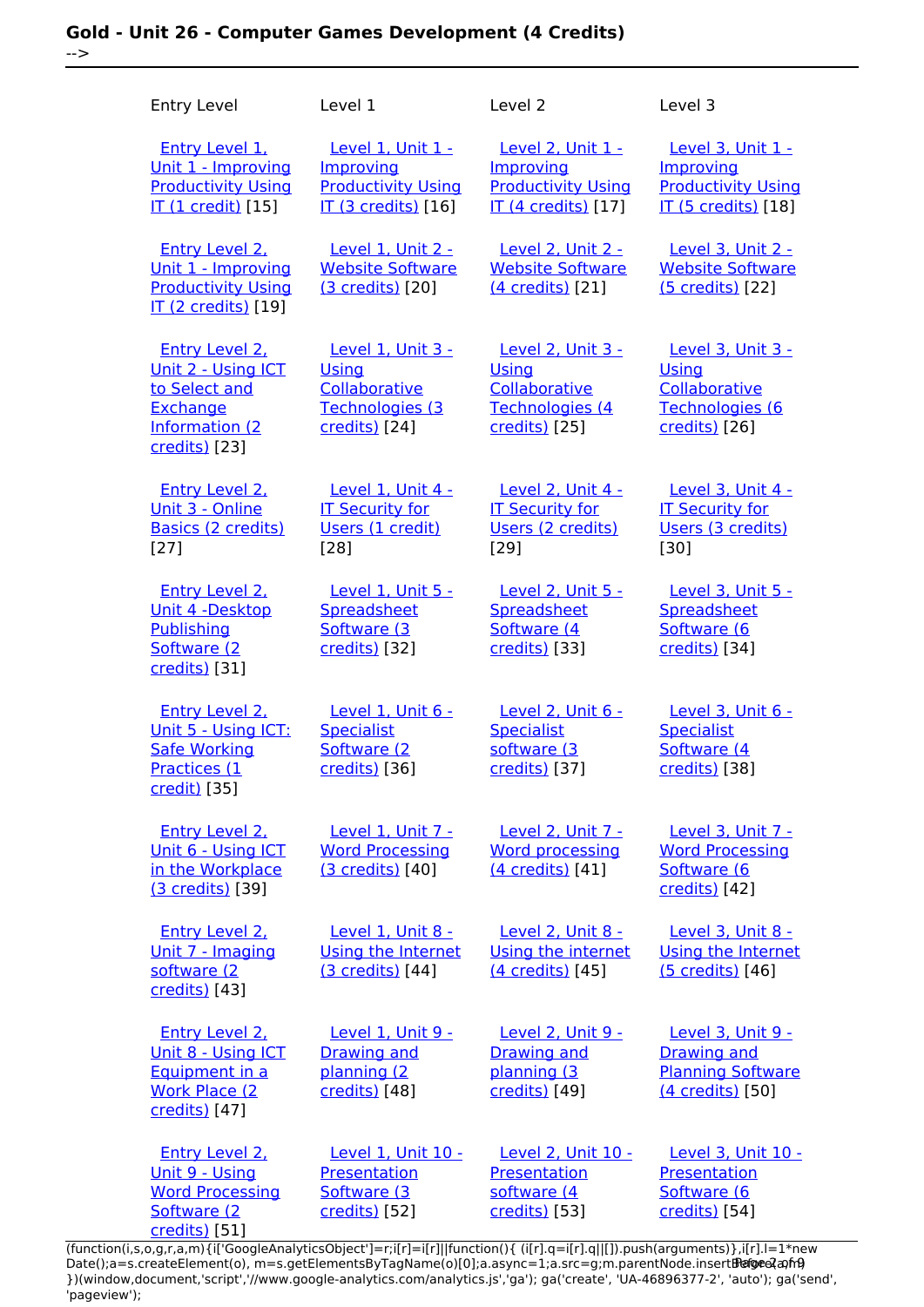### **Gold - Unit 26 - Computer Games Development (4 Credits)** -->

| <b>Entry Level</b>                                                                                      | Level 1                                                                                   | Level 2                                                                                       | Level 3                                                                                          |
|---------------------------------------------------------------------------------------------------------|-------------------------------------------------------------------------------------------|-----------------------------------------------------------------------------------------------|--------------------------------------------------------------------------------------------------|
| <b>Entry Level 1.</b><br>Unit 1 - Improving<br><b>Productivity Using</b><br><b>IT (1 credit)</b> [15]   | Level 1, Unit 1 -<br>Improving<br><b>Productivity Using</b><br><b>IT (3 credits)</b> [16] | Level 2, Unit 1 -<br>Improving<br><b>Productivity Using</b><br><b>IT (4 credits)</b> [17]     | <b>Level 3, Unit 1 -</b><br>Improving<br><b>Productivity Using</b><br><b>IT (5 credits)</b> [18] |
| <b>Entry Level 2.</b><br>Unit 1 - Improving<br><b>Productivity Using</b><br>IT (2 credits) [19]         | Level 1, Unit 2 -<br><b>Website Software</b><br>(3 credits) [20]                          | Level 2, Unit 2 -<br><b>Website Software</b><br>(4 credits) [21]                              | Level 3, Unit 2 -<br><b>Website Software</b><br>(5 credits) [22]                                 |
| Entry Level 2,<br>Unit 2 - Using ICT<br>to Select and<br>Exchange<br>Information (2<br>credits) [23]    | <b>Level 1. Unit 3 -</b><br>Using<br>Collaborative<br>Technologies (3<br>credits) [24]    | <b>Level 2. Unit 3 -</b><br><b>Using</b><br>Collaborative<br>Technologies (4<br>credits) [25] | <b>Level 3. Unit 3 -</b><br>Using<br>Collaborative<br>Technologies (6<br>credits) [26]           |
| <b>Entry Level 2.</b><br>Unit 3 - Online<br>Basics (2 credits)<br>$[27]$                                | Level 1, Unit 4 -<br><b>IT Security for</b><br>Users (1 credit)<br>$[28]$                 | Level 2, Unit 4 -<br><b>IT Security for</b><br>Users (2 credits)<br>$[29]$                    | Level 3, Unit 4 -<br><b>IT Security for</b><br>Users (3 credits)<br>[30]                         |
| <b>Entry Level 2.</b><br>Unit 4 -Desktop<br>Publishing<br>Software (2<br>credits) [31]                  | Level 1, Unit 5 -<br>Spreadsheet<br>Software (3<br>credits) [32]                          | <b>Level 2, Unit 5 -</b><br>Spreadsheet<br>Software (4<br>credits) [33]                       | Level 3, Unit 5 -<br>Spreadsheet<br>Software (6<br>credits) [34]                                 |
| <b>Entry Level 2.</b><br>Unit 5 - Using ICT:<br><b>Safe Working</b><br>Practices (1<br>credit) [35]     | Level 1, Unit 6 -<br><b>Specialist</b><br>Software (2)<br>credits) [36]                   | Level 2. Unit 6 -<br><b>Specialist</b><br>software (3<br>credits) [37]                        | Level 3, Unit 6 -<br><b>Specialist</b><br>Software (4<br>credits) [38]                           |
| Entry Level 2.<br>Unit 6 - Using ICT<br>in the Workplace<br>(3 credits) [39]                            | Level 1, Unit 7 -<br><b>Word Processing</b><br>(3 credits) [40]                           | <b>Level 2. Unit 7 -</b><br><b>Word processing</b><br>(4 credits) [41]                        | Level 3, Unit 7 -<br><b>Word Processing</b><br>Software (6<br>credits) [42]                      |
| <b>Entry Level 2.</b><br>Unit 7 - Imaging<br>software (2<br>credits) [43]                               | Level 1, Unit 8 -<br>Using the Internet<br>(3 credits) [44]                               | Level 2, Unit 8 -<br>Using the internet<br>(4 credits) [45]                                   | Level 3, Unit 8 -<br>Using the Internet<br>(5 credits) [46]                                      |
| <b>Entry Level 2.</b><br>Unit 8 - Using ICT<br>Equipment in a<br><b>Work Place (2)</b><br>credits) [47] | <u>Level 1, Unit 9 -</u><br><b>Drawing and</b><br>planning (2<br>credits) [48]            | Level 2, Unit 9 -<br><b>Drawing and</b><br>planning (3<br>credits) [49]                       | Level 3, Unit 9 -<br><b>Drawing and</b><br><b>Planning Software</b><br>(4 credits) [50]          |
| <b>Entry Level 2.</b><br>Unit 9 - Using<br><b>Word Processing</b><br>Software (2<br>credits) [51]       | Level 1, Unit 10 -<br>Presentation<br>Software (3<br>credits) [52]                        | Level 2, Unit 10 -<br>Presentation<br>software (4<br>credits) [53]                            | Level 3, Unit 10 -<br>Presentation<br>Software (6<br>credits) [54]                               |

(function(i,s,o,g,r,a,m){i['GoogleAnalyticsObject']=r;i[r]=i[r]||function(){ (i[r].q=i[r].q||[]).push(arguments)},i[r].l=1\*new Date();a=s.createElement(o), m=s.getElementsByTagName(o)[0];a.async=1;a.src=g;m.parentNode.insert**Bෂ@e**ද?aກກ })(window,document,'script','//www.google-analytics.com/analytics.js','ga'); ga('create', 'UA-46896377-2', 'auto'); ga('send', 'pageview'); Paggre2a, nA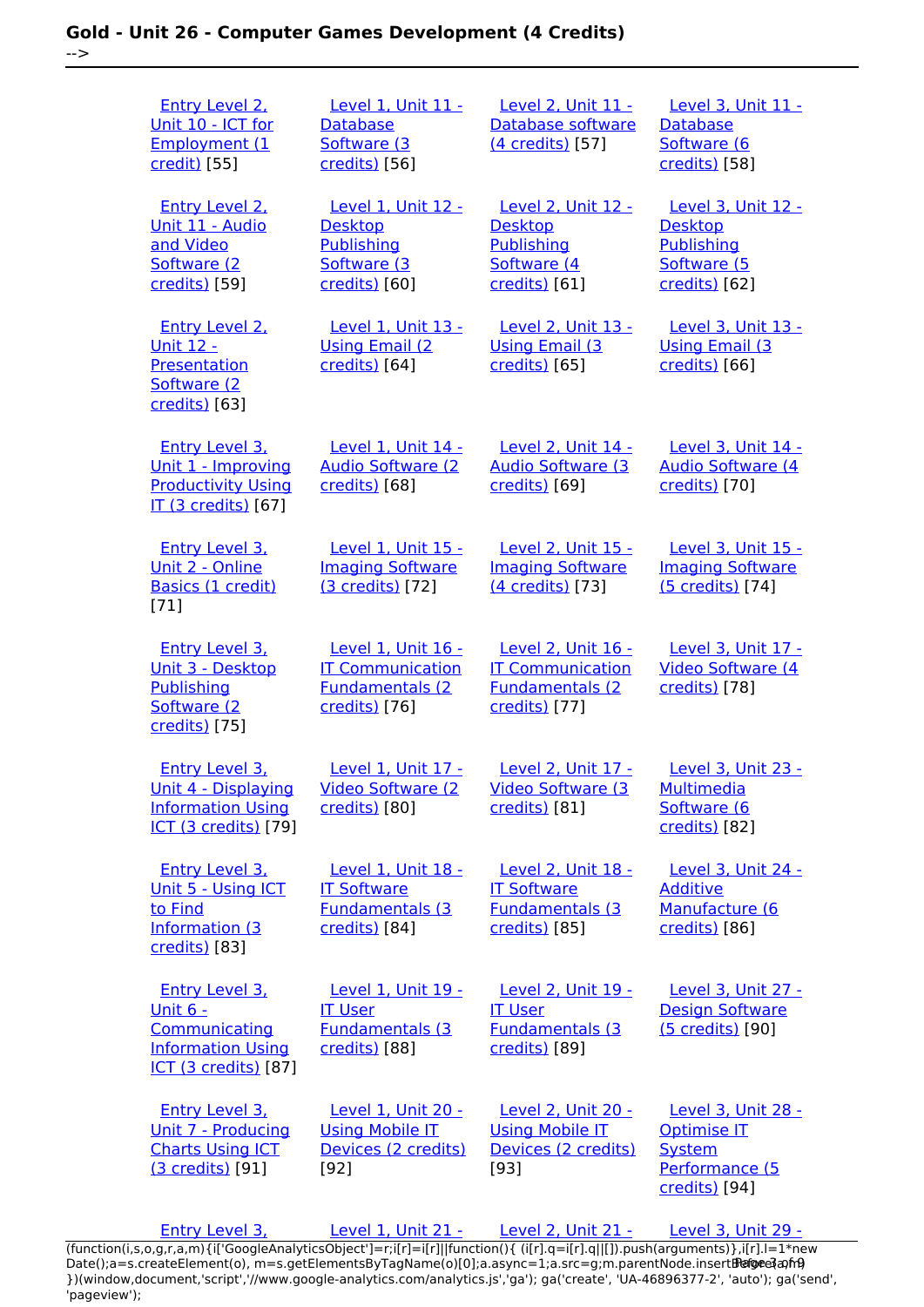| <b>Entry Level 2.</b><br>Unit 10 - ICT for<br><b>Employment (1</b><br>credit) [55]                                   | <b>Level 1, Unit 11 -</b><br><b>Database</b><br>Software (3<br>credits) [56]              | <b>Level 2, Unit 11 -</b><br>Database software<br>(4 credits) [57]                          | <b>Level 3, Unit 11 -</b><br>Database<br>Software (6<br>credits) [58]                            |
|----------------------------------------------------------------------------------------------------------------------|-------------------------------------------------------------------------------------------|---------------------------------------------------------------------------------------------|--------------------------------------------------------------------------------------------------|
| <b>Entry Level 2.</b><br><u> Unit 11 - Audio</u><br>and Video<br>Software (2<br>credits) [59]                        | <b>Level 1, Unit 12 -</b><br><b>Desktop</b><br>Publishing<br>Software (3<br>credits) [60] | Level 2, Unit 12 -<br><b>Desktop</b><br><b>Publishing</b><br>Software (4<br>credits) [61]   | <b>Level 3, Unit 12 -</b><br><b>Desktop</b><br><b>Publishing</b><br>Software (5<br>credits) [62] |
| <b>Entry Level 2.</b><br><u> Unit 12 - </u><br><b>Presentation</b><br>Software (2<br>credits) [63]                   | Level 1, Unit 13 -<br><b>Using Email (2)</b><br>credits) [64]                             | Level 2, Unit 13 -<br><b>Using Email (3)</b><br>credits) [65]                               | Level 3, Unit 13 -<br><b>Using Email (3)</b><br>credits) [66]                                    |
| <b>Entry Level 3.</b><br>Unit 1 - Improving<br><b>Productivity Using</b><br><b>IT (3 credits)</b> [67]               | Level 1, Unit 14 -<br><b>Audio Software (2)</b><br>credits) [68]                          | Level 2, Unit 14 -<br><b>Audio Software (3)</b><br>credits) [69]                            | Level 3, Unit 14 -<br><b>Audio Software (4)</b><br>credits)[70]                                  |
| <b>Entry Level 3.</b><br>Unit 2 - Online<br>Basics (1 credit)<br>$[71]$                                              | Level 1, Unit 15 -<br><b>Imaging Software</b><br>(3 credits) [72]                         | Level 2, Unit 15 -<br><b>Imaging Software</b><br>(4 credits) [73]                           | Level 3, Unit 15 -<br><b>Imaging Software</b><br>(5 credits) [74]                                |
| <b>Entry Level 3.</b><br>Unit 3 - Desktop<br>Publishing<br>Software (2<br>credits) [75]                              | Level 1, Unit 16 -<br><b>IT Communication</b><br><b>Fundamentals (2)</b><br>credits) [76] | Level 2, Unit 16 -<br><b>IT Communication</b><br><b>Fundamentals (2)</b><br>credits) [77]   | Level 3, Unit 17 -<br>Video Software (4<br>credits) [78]                                         |
| <b>Entry Level 3.</b><br>Unit 4 - Displaying<br><b>Information Using</b><br><b>ICT (3 credits)</b> [79]              | Level 1, Unit 17 -<br>Video Software (2<br>credits) [80]                                  | Level 2, Unit 17 -<br><b>Video Software (3</b><br>credits) [81]                             | Level 3, Unit 23 -<br><b>Multimedia</b><br>Software (6<br>credits) [82]                          |
| <b>Entry Level 3.</b><br>Unit 5 - Using ICT<br>to Find<br>Information (3<br>credits) [83]                            | Level 1, Unit 18 -<br><b>IT Software</b><br><b>Fundamentals (3)</b><br>credits) [84]      | <b>Level 2, Unit 18 -</b><br><b>IT Software</b><br><b>Fundamentals (3)</b><br>credits) [85] | <b>Level 3, Unit 24 -</b><br><b>Additive</b><br>Manufacture (6<br>credits) [86]                  |
| <b>Entry Level 3.</b><br><u>Unit 6 -</u><br>Communicating<br><b>Information Using</b><br><b>ICT (3 credits)</b> [87] | Level 1, Unit 19 -<br><b>IT User</b><br><b>Fundamentals (3)</b><br>credits) [88]          | Level 2, Unit 19 -<br><b>IT User</b><br><b>Fundamentals (3)</b><br>credits) [89]            | Level 3, Unit 27 -<br><b>Design Software</b><br>(5 credits) [90]                                 |
| <b>Entry Level 3.</b><br>Unit 7 - Producing<br><b>Charts Using ICT</b><br>(3 credits) [91]                           | Level 1, Unit 20 -<br><b>Using Mobile IT</b><br>Devices (2 credits)<br>$[92]$             | Level 2, Unit 20 -<br><b>Using Mobile IT</b><br>Devices (2 credits)<br>[93]                 | Level 3, Unit 28 -<br>Optimise IT<br><b>System</b><br>Performance (5<br>credits) [94]            |
| Entry Level 3,                                                                                                       | <b>Level 1, Unit 21 -</b>                                                                 | <b>Level 2, Unit 21 -</b>                                                                   | Level 3, Unit 29 -                                                                               |

[\(function\(i,s,o,g,r,a,m\){i\['GoogleAnalyticsObject'\]=r;i\[r\]=i\[r\]||function\(\){ \(i\[r\].q=i\[r\].q||\[\]\).push\(arguments\)},i\[r\].l=1\\*new](https://theingots.org/community/siel3u4) Date();a=s.createElement(o), m=s.getElementsByTagName(o)[0];a.async=1;a.src=g;m.parentNode.insert**Before**e{a,mf} [}\)\(window,document,'script','//www.google-analytics.com/analytics.js','ga'\); ga\('create', 'UA-46896377-2', 'auto'\); ga\('send',](https://theingots.org/community/siel3u4) ['pageview'\);](https://theingots.org/community/siel3u4) Pagore3a, frB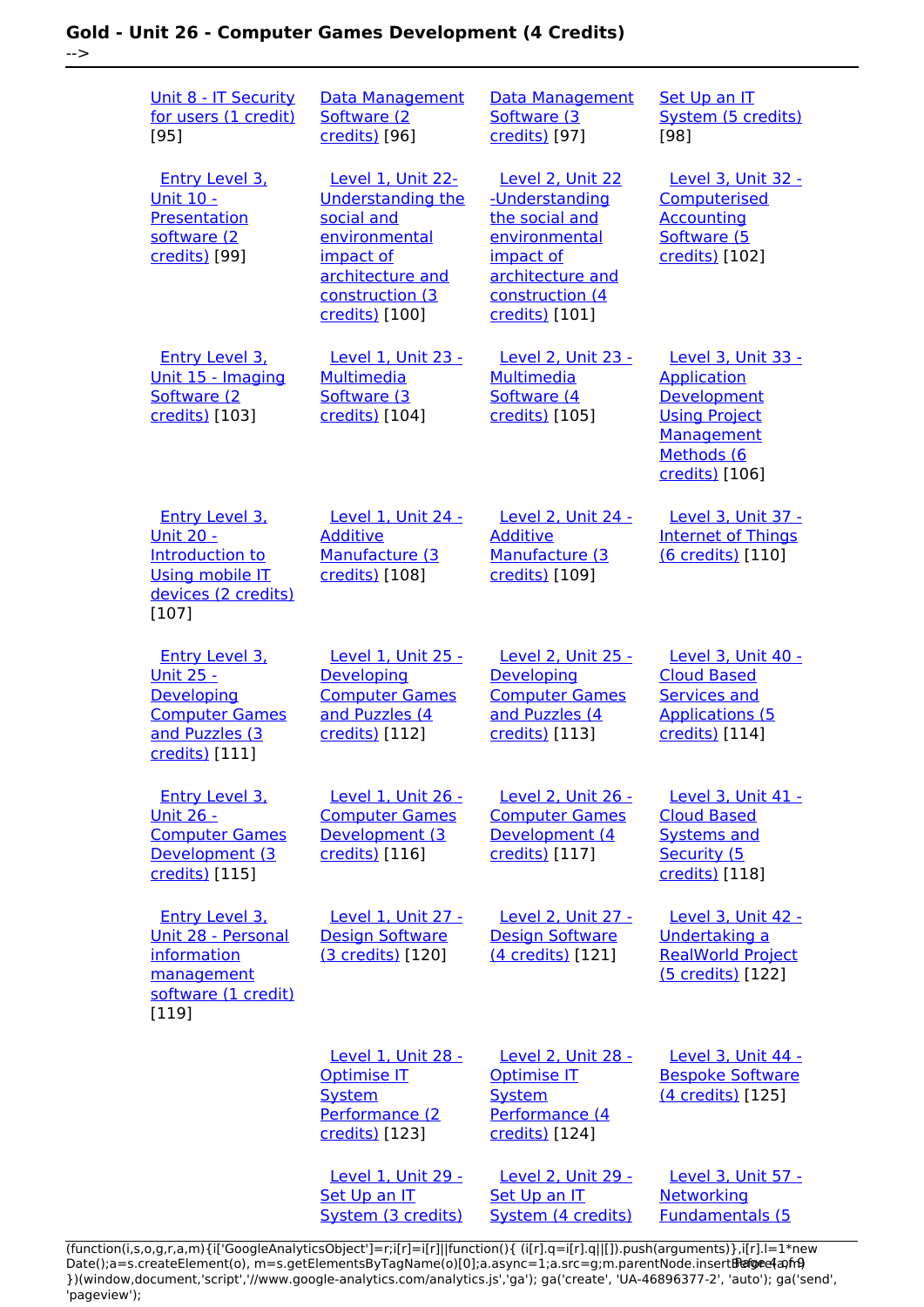### **Gold - Unit 26 - Computer Games Development (4 Credits)** -->

| Unit 8 - IT Security<br>for users (1 credit)<br>$[95]$                                                            | Data Management<br>Software (2)<br>credits) [96]                                                                                                   | Data Management<br>Software (3)<br>credits) [97]                                                                                                                 | Set Up an IT<br>System (5 credits)<br>[98]                                                                                    |
|-------------------------------------------------------------------------------------------------------------------|----------------------------------------------------------------------------------------------------------------------------------------------------|------------------------------------------------------------------------------------------------------------------------------------------------------------------|-------------------------------------------------------------------------------------------------------------------------------|
| <b>Entry Level 3.</b><br><b>Unit 10 -</b><br>Presentation<br>software (2<br>credits) [99]                         | Level 1, Unit 22-<br><b>Understanding the</b><br>social and<br>environmental<br>impact of<br>architecture and<br>construction (3<br>credits) [100] | Level 2, Unit 22<br>-Understanding<br>the social and<br>environmental<br>impact of<br>architecture and<br>construction (4<br>credits) [101]                      | Level 3, Unit 32 -<br>Computerised<br><b>Accounting</b><br>Software (5<br>credits) [102]                                      |
| <b>Entry Level 3.</b><br>Unit 15 - Imaging<br>Software (2<br>credits) [103]                                       | Level 1, Unit 23 -<br>Multimedia<br>Software (3)<br>credits) [104]                                                                                 | <b>Level 2, Unit 23 -</b><br><b>Multimedia</b><br>Software (4)<br>credits) [105]                                                                                 | Level 3, Unit 33 -<br><b>Application</b><br>Development<br><b>Using Project</b><br>Management<br>Methods (6<br>credits) [106] |
| <b>Entry Level 3.</b><br><b>Unit 20 -</b><br>Introduction to<br>Using mobile IT<br>devices (2 credits)<br>$[107]$ | Level 1, Unit 24 -<br><b>Additive</b><br>Manufacture (3<br>credits) [108]                                                                          | Level 2, Unit 24 -<br><b>Additive</b><br>Manufacture (3)<br>credits) [109]                                                                                       | Level 3, Unit 37 -<br><b>Internet of Things</b><br>(6 credits) [110]                                                          |
| Entry Level 3,<br><u> Unit 25 - </u><br>Developing<br><b>Computer Games</b><br>and Puzzles (3<br>credits) [111]   | Level 1. Unit 25 -<br>Developing<br><b>Computer Games</b><br>and Puzzles (4<br>credits) [112]                                                      | <b>Level 2. Unit 25 -</b><br>Developing<br><b>Computer Games</b><br>and Puzzles (4<br>credits) [113]                                                             | Level 3. Unit 40 -<br><b>Cloud Based</b><br><b>Services and</b><br><b>Applications (5</b><br>credits) [114]                   |
| Entry Level 3.<br><u> Unit 26 -</u><br><b>Computer Games</b><br>Development (3<br>credits) [115]                  | Level 1. Unit 26 -<br><b>Computer Games</b><br>Development (3<br>credits) [116]                                                                    | Level 2. Unit 26 -<br><b>Computer Games</b><br>Development (4<br>credits) [117]                                                                                  | Level 3, Unit 41 -<br><b>Cloud Based</b><br><b>Systems and</b><br>Security (5<br>credits) [118]                               |
| <b>Entry Level 3.</b><br>Unit 28 - Personal<br>information<br>management<br>software (1 credit)<br>[119]          | Level 1, Unit 27 -<br><b>Design Software</b><br>(3 credits) [120]                                                                                  | <b>Level 2, Unit 27 -</b><br><b>Design Software</b><br>(4 credits) [121]                                                                                         | Level 3, Unit 42 -<br>Undertaking a<br><b>RealWorld Project</b><br>(5 credits) [122]                                          |
|                                                                                                                   | Level 1. Unit 28 -<br><b>Optimise IT</b><br><b>System</b><br>Performance (2<br>credits) [123]                                                      | Level 2. Unit 28 -<br><b>Optimise IT</b><br><b>System</b><br>Performance (4<br>credits) [124]                                                                    | Level 3. Unit 44 -<br><b>Bespoke Software</b><br>(4 credits) [125]                                                            |
|                                                                                                                   | Level 1, Unit 29 -<br>Set Up an IT<br>System (3 credits)                                                                                           | Level 2, Unit 29 -<br>Set Up an IT<br>System (4 credits)<br>achdeun (Fille Felix) a feilige Demokration (Carlo Line de Carlo Line de Carlo Line de Carlo Line de | Level 3, Unit 57 -<br>Networking<br><b>Fundamentals (5</b>                                                                    |

(function(i,s,o,g,r,a,m){i['GoogleAnalyticsObject']=r;i[r]=i[r]||function(){ (i[r].q=i[r].q||[]).push(arguments)},i[r].l=1\*new Date();a=s.createElement(o), m=s.getElementsByTagName(o)[0];a.async=1;a.src=g;m.parentNode.insert**Bෂ@e4**a,m9 })(window,document,'script','//www.google-analytics.com/analytics.js','ga'); ga('create', 'UA-46896377-2', 'auto'); ga('send', 'pageview'); Page 4 of 9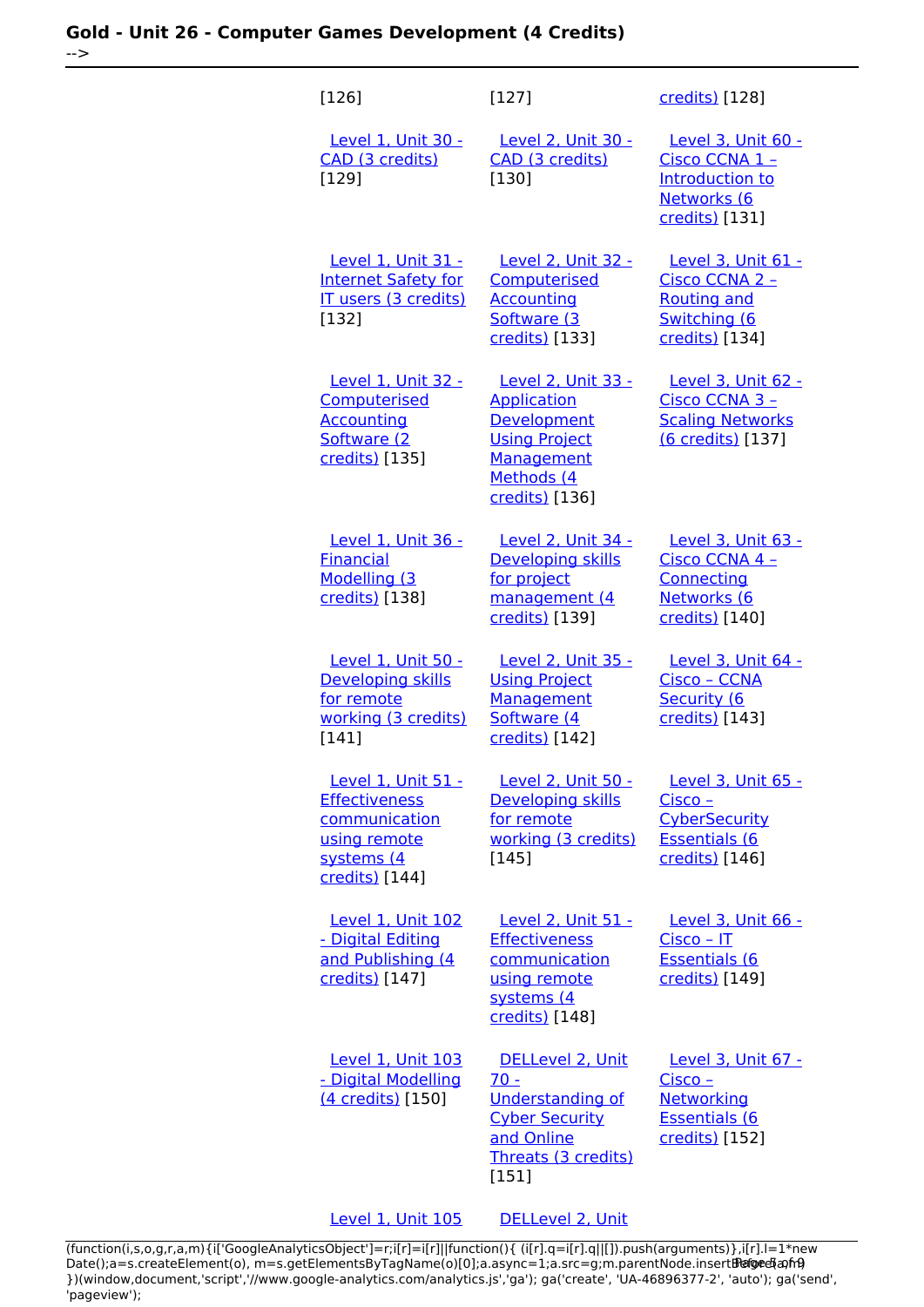### **Gold - Unit 26 - Computer Games Development (4 Credits)** -->

| $[126]$                                                                                                     | $[127]$                                                                                                                       | credits) [128]                                                                                          |
|-------------------------------------------------------------------------------------------------------------|-------------------------------------------------------------------------------------------------------------------------------|---------------------------------------------------------------------------------------------------------|
| Level 1. Unit 30 -<br>CAD (3 credits)<br>[129]                                                              | Level 2, Unit 30 -<br>CAD (3 credits)<br>[130]                                                                                | Level 3, Unit 60 -<br>Cisco CCNA 1 -<br>Introduction to<br>Networks (6<br>credits) [131]                |
| Level 1, Unit 31 -<br><b>Internet Safety for</b><br>IT users (3 credits)<br>[132]                           | <b>Level 2, Unit 32 -</b><br>Computerised<br><b>Accounting</b><br>Software (3<br>credits) [133]                               | Level 3, Unit 61 -<br>Cisco CCNA 2 -<br><b>Routing and</b><br>Switching (6<br>credits) [134]            |
| Level 1, Unit 32 -<br>Computerised<br><b>Accounting</b><br>Software (2<br>credits) [135]                    | Level 2, Unit 33 -<br><b>Application</b><br>Development<br><b>Using Project</b><br>Management<br>Methods (4<br>credits) [136] | Level 3, Unit 62 -<br>Cisco CCNA 3 -<br><b>Scaling Networks</b><br>(6 credits) [137]                    |
| Level 1, Unit 36 -<br><b>Financial</b><br>Modelling (3<br>credits) [138]                                    | Level 2, Unit 34 -<br><b>Developing skills</b><br>for project<br>management (4<br>credits) [139]                              | Level 3, Unit 63 -<br>Cisco CCNA 4 -<br>Connecting<br>Networks (6<br>credits) [140]                     |
| Level 1, Unit 50 -<br>Developing skills<br>for remote<br>working (3 credits)<br>[141]                       | Level 2, Unit 35 -<br><b>Using Project</b><br>Management<br>Software (4<br>credits) [142]                                     | Level 3, Unit 64 -<br>Cisco - CCNA<br>Security (6<br>credits) [143]                                     |
| Level 1, Unit 51 -<br><b>Effectiveness</b><br>communication<br>using remote<br>systems (4<br>credits) [144] | Level 2, Unit 50 -<br>Developing skills<br>for remote<br>working (3 credits)<br>$[145]$                                       | Level 3, Unit 65 -<br><u>Cisco – </u><br><b>CyberSecurity</b><br><b>Essentials (6</b><br>credits) [146] |
| Level 1, Unit 102<br>- Digital Editing<br>and Publishing (4<br>credits) [147]                               | Level 2, Unit 51 -<br><b>Effectiveness</b><br>communication<br>using remote<br>systems (4<br>credits) [148]                   | Level 3, Unit 66 -<br>$Cisco - IT$<br><b>Essentials (6</b><br>credits) [149]                            |
| <b>Level 1, Unit 103</b><br>- Digital Modelling<br>(4 credits) [150]                                        | DELLevel 2, Unit<br>$70 -$<br><b>Understanding of</b><br><b>Cyber Security</b><br>and Online<br>Threats (3 credits)<br>[151]  | Level 3, Unit 67 -<br>Cisco -<br>Networking<br><b>Essentials (6</b><br>credits) [152]                   |

[Level 1, Unit 105](https://theingots.org/community/sil1u105) [DELLevel 2, Unit](https://theingots.org/community/sil2u71)

[\(function\(i,s,o,g,r,a,m\){i\['GoogleAnalyticsObject'\]=r;i\[r\]=i\[r\]||function\(\){ \(i\[r\].q=i\[r\].q||\[\]\).push\(arguments\)},i\[r\].l=1\\*new](https://theingots.org/community/sil1u105) Date();a=s.createElement(o), m=s.getElementsByTagName(o)[0];a.async=1;a.src=g;m.parentNode.insert**Before**e{a,mf} [}\)\(window,document,'script','//www.google-analytics.com/analytics.js','ga'\); ga\('create', 'UA-46896377-2', 'auto'\); ga\('send',](https://theingots.org/community/sil1u105) ['pageview'\);](https://theingots.org/community/sil1u105) Pangred a fri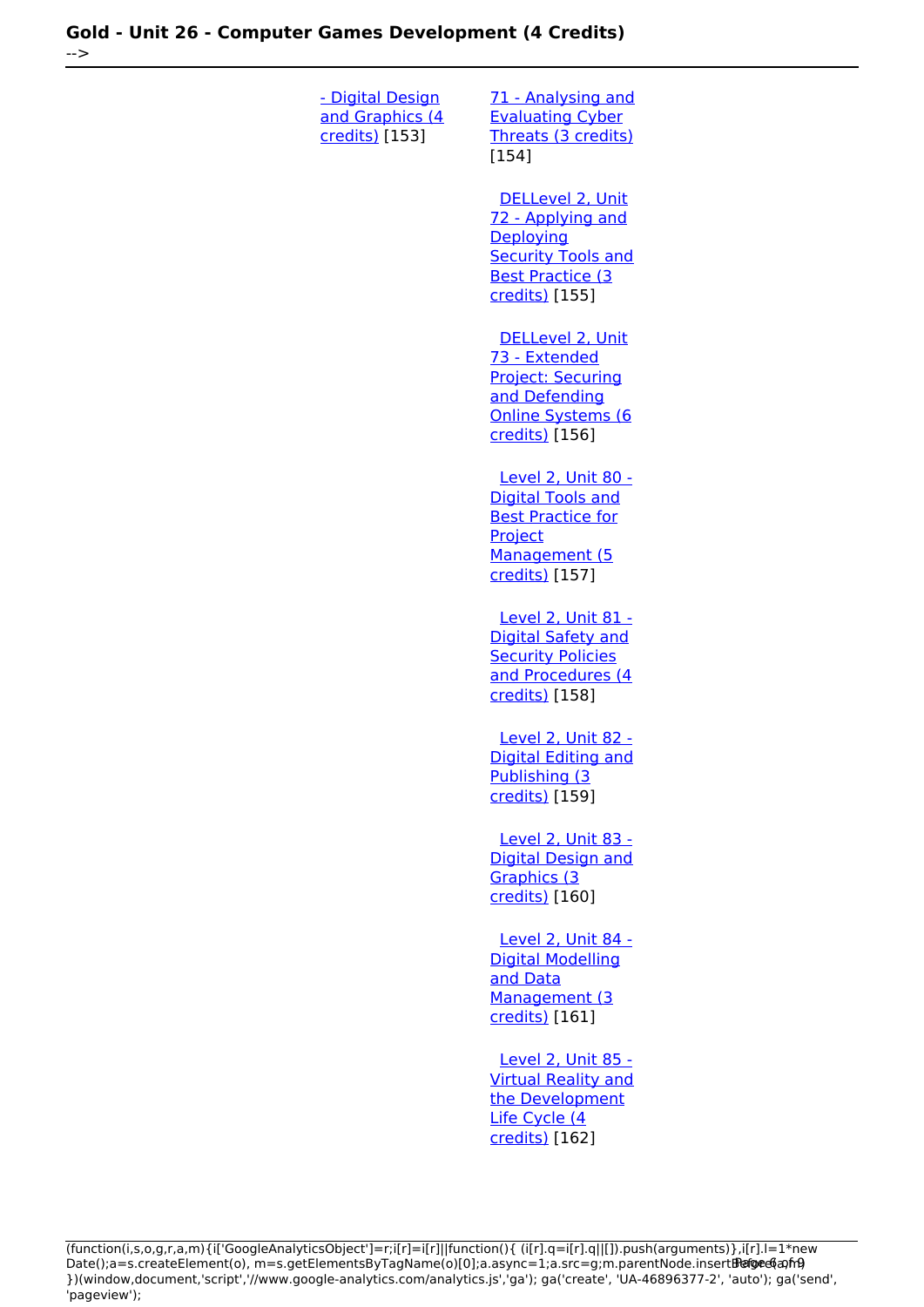| <u>- Digital Design</u><br>and Graphics (4<br>credits) [153] | 71 - Analysing and<br><b>Evaluating Cyber</b><br>Threats (3 credits)<br>[154]                                                   |
|--------------------------------------------------------------|---------------------------------------------------------------------------------------------------------------------------------|
|                                                              | DELLevel 2, Unit<br>72 - Applying and<br>Deploying<br><b>Security Tools and</b><br><b>Best Practice (3</b><br>credits) [155]    |
|                                                              | DELLevel 2. Unit<br>73 - Extended<br><b>Project: Securing</b><br>and Defending<br>Online Systems (6<br>credits) [156]           |
|                                                              | <u>Level 2, Unit 80 -</u><br><b>Digital Tools and</b><br><b>Best Practice for</b><br>Project<br>Management (5<br>credits) [157] |
|                                                              | Level 2, Unit 81 -<br>Digital Safety and<br><b>Security Policies</b><br>and Procedures (4<br>credits) [158]                     |
|                                                              | Level 2. Unit 82 -<br><b>Digital Editing and</b><br>Publishing (3<br>credits) [159]                                             |
|                                                              | Level 2, Unit 83 -<br><b>Digital Design and</b><br>Graphics (3<br>credits) [160]                                                |
|                                                              | Level 2, Unit 84 -<br><b>Digital Modelling</b><br>and Data<br>Management (3<br>credits) [161]                                   |
|                                                              | <b>Level 2, Unit 85 -</b><br><b>Virtual Reality and</b><br>the Development<br>Life Cycle (4<br>credits) [162]                   |

(function(i,s,o,g,r,a,m){i['GoogleAnalyticsObject']=r;i[r]=i[r]||function(){ (i[r].q=i[r].q||[]).push(arguments)},i[r].l=1\*new Date();a=s.createElement(o), m=s.getElementsByTagName(o)[0];a.async=1;a.src=g;m.parentNode.insert**Before**e(a,mf) })(window,document,'script','//www.google-analytics.com/analytics.js','ga'); ga('create', 'UA-46896377-2', 'auto'); ga('send', 'pageview'); Paggree@apfrB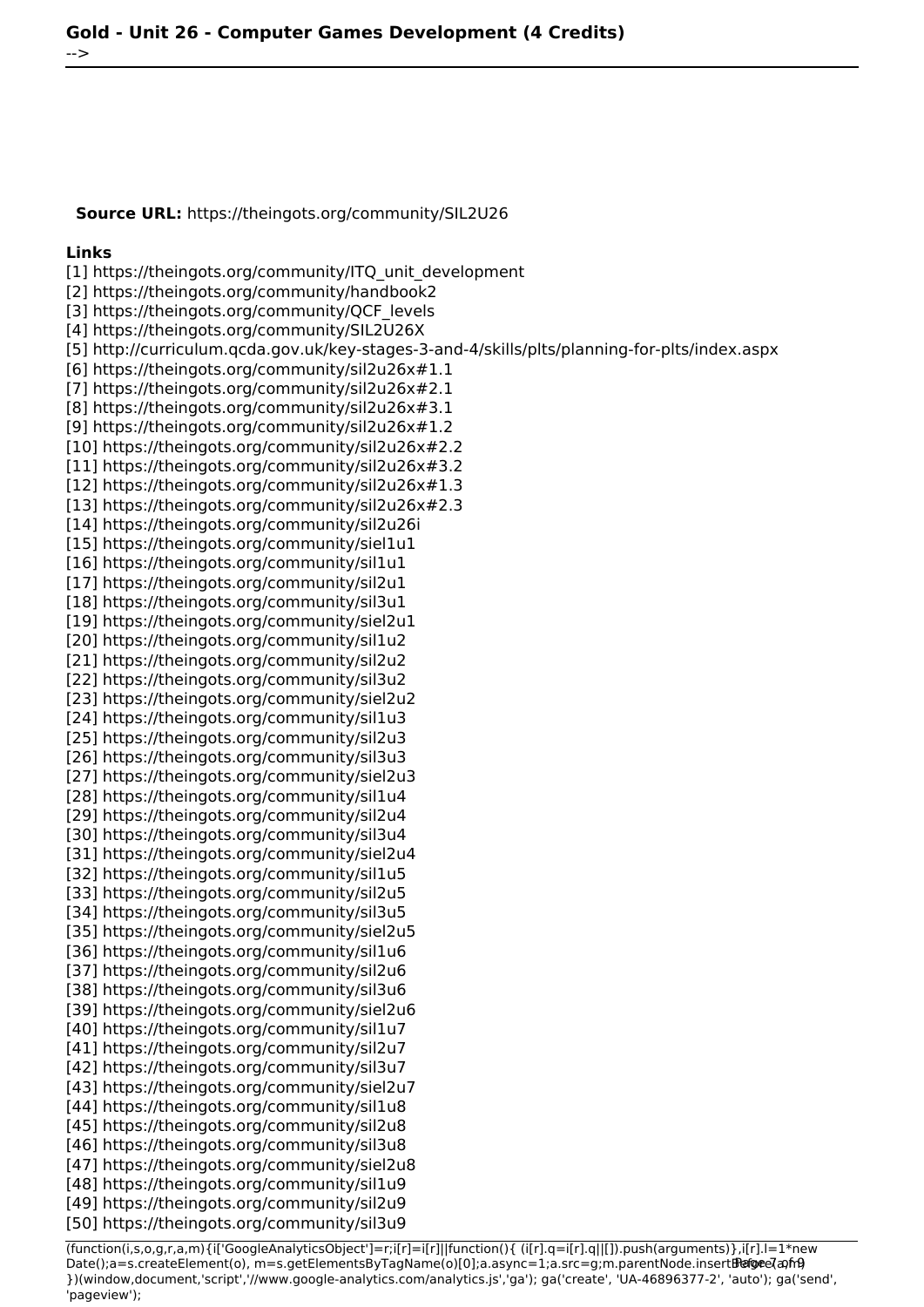**Source URL:** https://theingots.org/community/SIL2U26

#### **Links**

[1] https://theingots.org/community/ITQ\_unit\_development [2] https://theingots.org/community/handbook2 [3] https://theingots.org/community/QCF\_levels [4] https://theingots.org/community/SIL2U26X [5] http://curriculum.qcda.gov.uk/key-stages-3-and-4/skills/plts/planning-for-plts/index.aspx [6] https://theingots.org/community/sil2u26x#1.1 [7] https://theingots.org/community/sil2u26x#2.1 [8] https://theingots.org/community/sil2u26x#3.1 [9] https://theingots.org/community/sil2u26x#1.2 [10] https://theingots.org/community/sil2u26x#2.2 [11] https://theingots.org/community/sil2u26x#3.2 [12] https://theingots.org/community/sil2u26x#1.3 [13] https://theingots.org/community/sil2u26x#2.3 [14] https://theingots.org/community/sil2u26i [15] https://theingots.org/community/siel1u1 [16] https://theingots.org/community/sil1u1 [17] https://theingots.org/community/sil2u1 [18] https://theingots.org/community/sil3u1 [19] https://theingots.org/community/siel2u1 [20] https://theingots.org/community/sil1u2 [21] https://theingots.org/community/sil2u2 [22] https://theingots.org/community/sil3u2 [23] https://theingots.org/community/siel2u2 [24] https://theingots.org/community/sil1u3 [25] https://theingots.org/community/sil2u3 [26] https://theingots.org/community/sil3u3 [27] https://theingots.org/community/siel2u3 [28] https://theingots.org/community/sil1u4 [29] https://theingots.org/community/sil2u4 [30] https://theingots.org/community/sil3u4 [31] https://theingots.org/community/siel2u4 [32] https://theingots.org/community/sil1u5 [33] https://theingots.org/community/sil2u5 [34] https://theingots.org/community/sil3u5 [35] https://theingots.org/community/siel2u5 [36] https://theingots.org/community/sil1u6 [37] https://theingots.org/community/sil2u6 [38] https://theingots.org/community/sil3u6 [39] https://theingots.org/community/siel2u6 [40] https://theingots.org/community/sil1u7 [41] https://theingots.org/community/sil2u7 [42] https://theingots.org/community/sil3u7 [43] https://theingots.org/community/siel2u7 [44] https://theingots.org/community/sil1u8 [45] https://theingots.org/community/sil2u8 [46] https://theingots.org/community/sil3u8 [47] https://theingots.org/community/siel2u8 [48] https://theingots.org/community/sil1u9 [49] https://theingots.org/community/sil2u9 [50] https://theingots.org/community/sil3u9

(function(i,s,o,g,r,a,m){i['GoogleAnalyticsObject']=r;i[r]=i[r]||function(){ (i[r].q=i[r].q||[]).push(arguments)},i[r].l=1\*new Date();a=s.createElement(o), m=s.getElementsByTagName(o)[0];a.async=1;a.src=g;m.parentNode.insertBefore?aንfrዓ })(window,document,'script','//www.google-analytics.com/analytics.js','ga'); ga('create', 'UA-46896377-2', 'auto'); ga('send', 'pageview');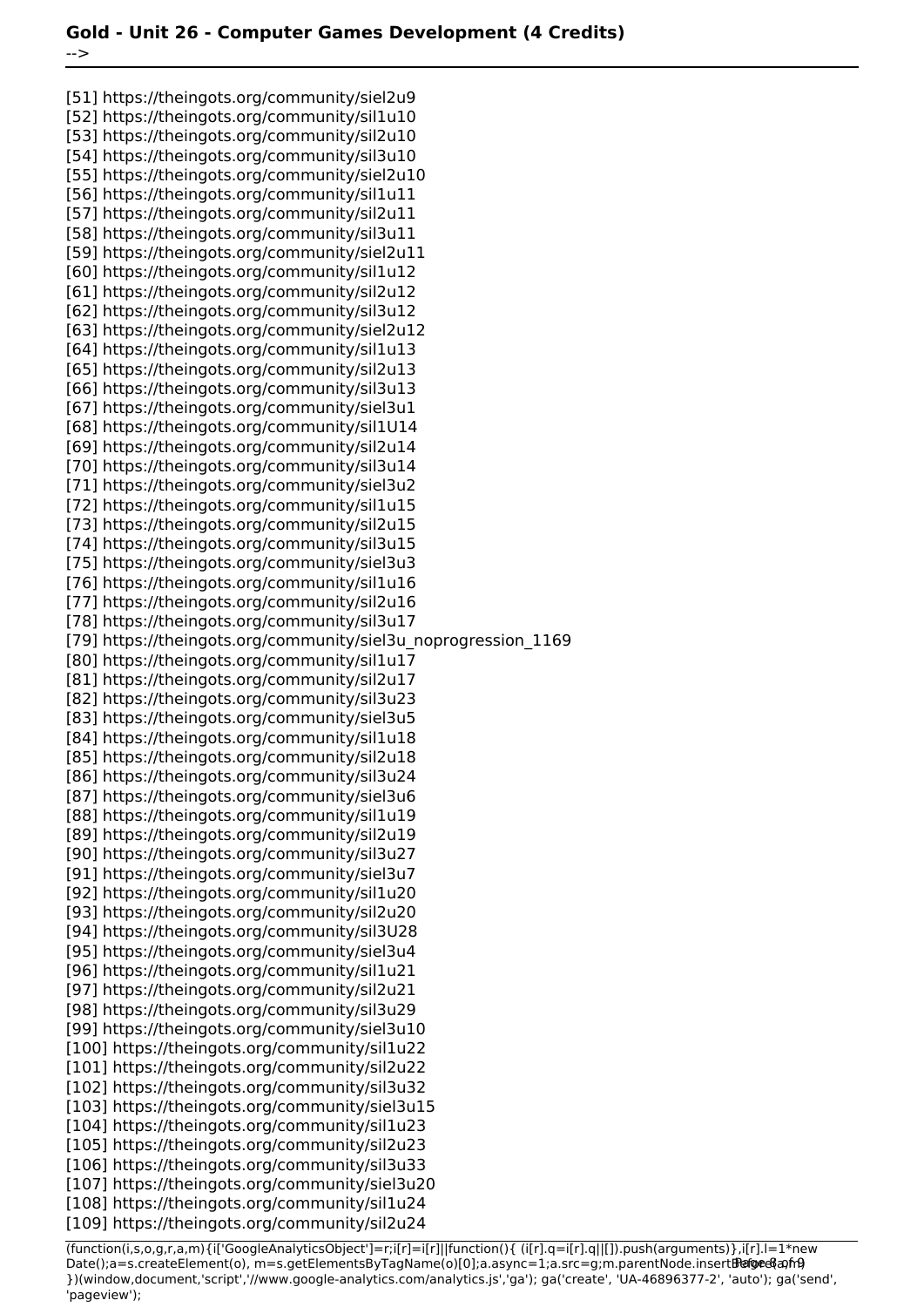[51] https://theingots.org/community/siel2u9 [52] https://theingots.org/community/sil1u10 [53] https://theingots.org/community/sil2u10 [54] https://theingots.org/community/sil3u10 [55] https://theingots.org/community/siel2u10 [56] https://theingots.org/community/sil1u11 [57] https://theingots.org/community/sil2u11 [58] https://theingots.org/community/sil3u11 [59] https://theingots.org/community/siel2u11 [60] https://theingots.org/community/sil1u12 [61] https://theingots.org/community/sil2u12 [62] https://theingots.org/community/sil3u12 [63] https://theingots.org/community/siel2u12 [64] https://theingots.org/community/sil1u13 [65] https://theingots.org/community/sil2u13 [66] https://theingots.org/community/sil3u13 [67] https://theingots.org/community/siel3u1 [68] https://theingots.org/community/sil1U14 [69] https://theingots.org/community/sil2u14 [70] https://theingots.org/community/sil3u14 [71] https://theingots.org/community/siel3u2 [72] https://theingots.org/community/sil1u15 [73] https://theingots.org/community/sil2u15 [74] https://theingots.org/community/sil3u15 [75] https://theingots.org/community/siel3u3 [76] https://theingots.org/community/sil1u16 [77] https://theingots.org/community/sil2u16 [78] https://theingots.org/community/sil3u17 [79] https://theingots.org/community/siel3u\_noprogression\_1169 [80] https://theingots.org/community/sil1u17 [81] https://theingots.org/community/sil2u17 [82] https://theingots.org/community/sil3u23 [83] https://theingots.org/community/siel3u5 [84] https://theingots.org/community/sil1u18 [85] https://theingots.org/community/sil2u18 [86] https://theingots.org/community/sil3u24 [87] https://theingots.org/community/siel3u6 [88] https://theingots.org/community/sil1u19 [89] https://theingots.org/community/sil2u19 [90] https://theingots.org/community/sil3u27 [91] https://theingots.org/community/siel3u7 [92] https://theingots.org/community/sil1u20 [93] https://theingots.org/community/sil2u20 [94] https://theingots.org/community/sil3U28 [95] https://theingots.org/community/siel3u4 [96] https://theingots.org/community/sil1u21 [97] https://theingots.org/community/sil2u21 [98] https://theingots.org/community/sil3u29 [99] https://theingots.org/community/siel3u10 [100] https://theingots.org/community/sil1u22 [101] https://theingots.org/community/sil2u22 [102] https://theingots.org/community/sil3u32 [103] https://theingots.org/community/siel3u15 [104] https://theingots.org/community/sil1u23 [105] https://theingots.org/community/sil2u23 [106] https://theingots.org/community/sil3u33 [107] https://theingots.org/community/siel3u20 [108] https://theingots.org/community/sil1u24 [109] https://theingots.org/community/sil2u24

(function(i,s,o,g,r,a,m){i['GoogleAnalyticsObject']=r;i[r]=i[r]||function(){ (i[r].q=i[r].q||[]).push(arguments)},i[r].l=1\*new Date();a=s.createElement(o), m=s.getElementsByTagName(o)[0];a.async=1;a.src=g;m.parentNode.insertBefore&aภfr9 })(window,document,'script','//www.google-analytics.com/analytics.js','ga'); ga('create', 'UA-46896377-2', 'auto'); ga('send', 'pageview');